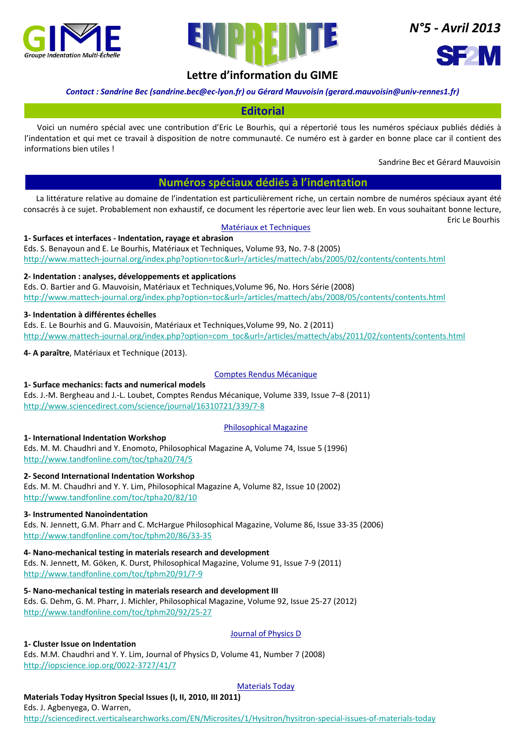



*N°5 ‐ Avril 2013*



# **Lettre d'information du GIME**

# *Contact : Sandrine Bec (sandrine.bec@ec‐lyon.fr) ou Gérard Mauvoisin (gerard.mauvoisin@univ‐rennes1.fr)*

# **Editorial**

Voici un numéro spécial avec une contribution d'Eric Le Bourhis, qui a répertorié tous les numéros spéciaux publiés dédiés à l'indentation et qui met ce travail à disposition de notre communauté. Ce numéro est à garder en bonne place car il contient des informations bien utiles !

Sandrine Bec et Gérard Mauvoisin

# **Numéros spéciaux dédiés à l'indentation**

La littérature relative au domaine de l'indentation est particulièrement riche, un certain nombre de numéros spéciaux ayant été consacrés à ce sujet. Probablement non exhaustif, ce document les répertorie avec leur lien web. En vous souhaitant bonne lecture,

Eric Le Bourhis

#### Matériaux et Techniques

### **1‐ Surfaces et interfaces ‐ Indentation, rayage et abrasion**

Eds. S. Benayoun and E. Le Bourhis, Matériaux et Techniques, Volume 93, No. 7‐8 (2005) http://www.mattech‐journal.org/index.php?option=toc&url=/articles/mattech/abs/2005/02/contents/contents.html

## **2‐ Indentation : analyses, développements et applications**

Eds. O. Bartier and G. Mauvoisin, Matériaux et Techniques,Volume 96, No. Hors Série (2008) http://www.mattech‐journal.org/index.php?option=toc&url=/articles/mattech/abs/2008/05/contents/contents.html

### **3‐ Indentation à différentes échelles**

Eds. E. Le Bourhis and G. Mauvoisin, Matériaux et Techniques,Volume 99, No. 2 (2011) http://www.mattech‐journal.org/index.php?option=com\_toc&url=/articles/mattech/abs/2011/02/contents/contents.html

**4‐ A paraître**, Matériaux et Technique (2013).

### Comptes Rendus Mécanique

### **1‐ Surface mechanics: facts and numerical models**

Eds. J.‐M. Bergheau and J.‐L. Loubet, Comptes Rendus Mécanique, Volume 339, Issue 7–8 (2011) http://www.sciencedirect.com/science/journal/16310721/339/7‐8

### Philosophical Magazine

### **1‐ International Indentation Workshop**

Eds. M. M. Chaudhri and Y. Enomoto, Philosophical Magazine A, Volume 74, Issue 5 (1996) http://www.tandfonline.com/toc/tpha20/74/5

### **2‐ Second International Indentation Workshop**

Eds. M. M. Chaudhri and Y. Y. Lim, Philosophical Magazine A, Volume 82, Issue 10 (2002) http://www.tandfonline.com/toc/tpha20/82/10

### **3‐ Instrumented Nanoindentation**

Eds. N. Jennett, G.M. Pharr and C. McHargue Philosophical Magazine, Volume 86, Issue 33‐35 (2006) http://www.tandfonline.com/toc/tphm20/86/33‐35

### **4‐ Nano‐mechanical testing in materials research and development**

Eds. N. Jennett, M. Göken, K. Durst, Philosophical Magazine, Volume 91, Issue 7‐9 (2011) http://www.tandfonline.com/toc/tphm20/91/7‐9

**5‐ Nano‐mechanical testing in materials research and development III** Eds. G. Dehm, G. M. Pharr, J. Michler, Philosophical Magazine, Volume 92, Issue 25‐27 (2012) http://www.tandfonline.com/toc/tphm20/92/25‐27

# **1‐ Cluster Issue on Indentation**

# Journal of Physics D

Eds. M.M. Chaudhri and Y. Y. Lim, Journal of Physics D, Volume 41, Number 7 (2008) http://iopscience.iop.org/0022‐3727/41/7

# Materials Today

# **Materials Today Hysitron Special Issues (I, II, 2010, III 2011)**

Eds. J. Agbenyega, O. Warren, http://sciencedirect.verticalsearchworks.com/EN/Microsites/1/Hysitron/hysitron‐special‐issues‐of‐materials‐today